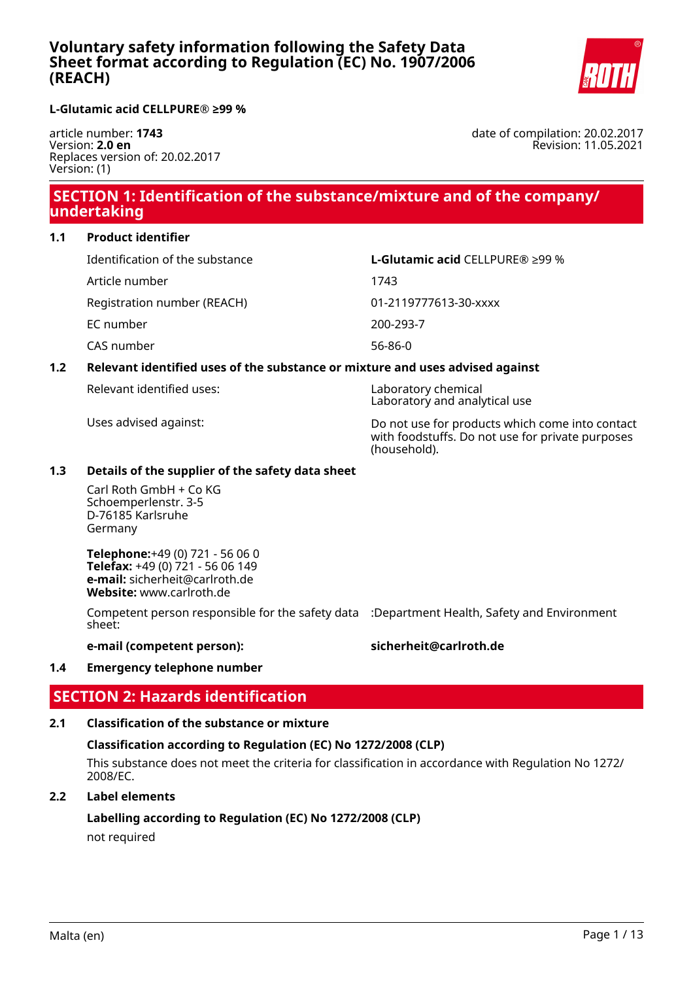

### **L-Glutamic acid CELLPURE® ≥99 %**

article number: **1743** Version: **2.0 en** Replaces version of: 20.02.2017 Version: (1)

date of compilation: 20.02.2017 Revision: 11.05.2021

## **SECTION 1: Identification of the substance/mixture and of the company/ undertaking**

### **1.1 Product identifier**

| Identification of the substance | L-Glutamic acid CELLPURE® ≥99 % |
|---------------------------------|---------------------------------|
| Article number                  | 1743                            |
| Registration number (REACH)     | 01-2119777613-30-xxxx           |
| EC number                       | 200-293-7                       |
| CAS number                      | 56-86-0                         |

### **1.2 Relevant identified uses of the substance or mixture and uses advised against**

|  | Relevant identified uses: |  |
|--|---------------------------|--|
|--|---------------------------|--|

Laboratory chemical Laboratory and analytical use

Uses advised against: Do not use for products which come into contact with foodstuffs. Do not use for private purposes (household).

### **1.3 Details of the supplier of the safety data sheet**

Carl Roth GmbH + Co KG Schoemperlenstr. 3-5 D-76185 Karlsruhe Germany

**Telephone:**+49 (0) 721 - 56 06 0 **Telefax:** +49 (0) 721 - 56 06 149 **e-mail:** sicherheit@carlroth.de **Website:** www.carlroth.de

Competent person responsible for the safety data :Department Health, Safety and Environment sheet:

### **e-mail (competent person): sicherheit@carlroth.de**

### **1.4 Emergency telephone number**

## **SECTION 2: Hazards identification**

## **2.1 Classification of the substance or mixture**

## **Classification according to Regulation (EC) No 1272/2008 (CLP)**

This substance does not meet the criteria for classification in accordance with Regulation No 1272/ 2008/EC.

## **2.2 Label elements**

## **Labelling according to Regulation (EC) No 1272/2008 (CLP)**

not required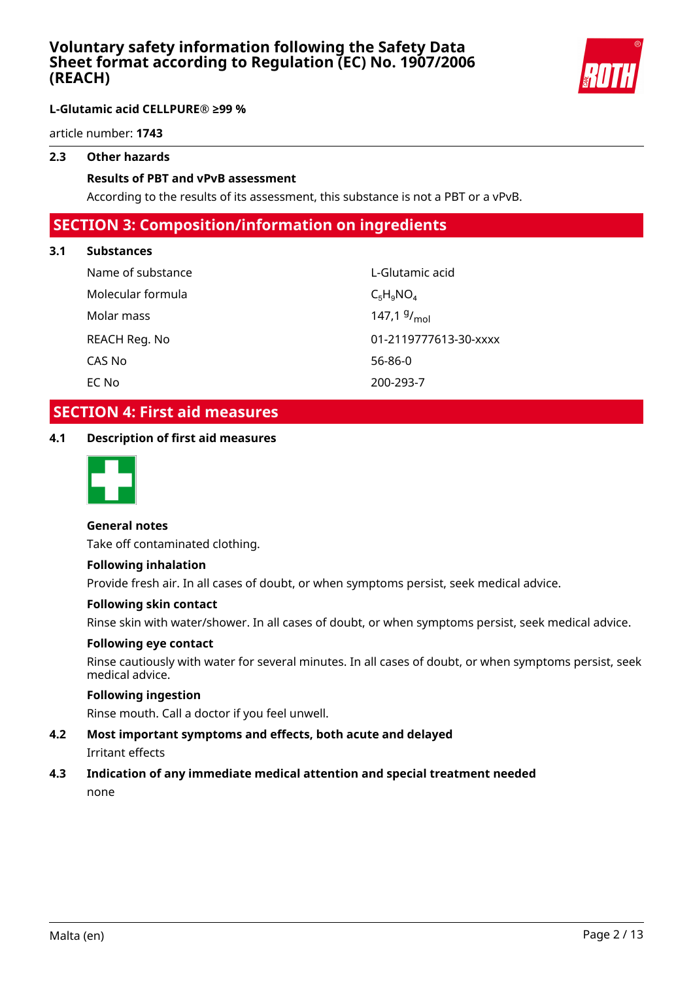

### **L-Glutamic acid CELLPURE® ≥99 %**

article number: **1743**

### **2.3 Other hazards**

### **Results of PBT and vPvB assessment**

According to the results of its assessment, this substance is not a PBT or a vPvB.

## **SECTION 3: Composition/information on ingredients**

### **3.1 Substances**

| Name of substance | L-Glutamic acid         |
|-------------------|-------------------------|
| Molecular formula | $C_5H_9NO_4$            |
| Molar mass        | 147,1 $9/_{\text{mol}}$ |
| REACH Reg. No     | 01-2119777613-30-xxxx   |
| CAS No            | 56-86-0                 |
| EC No             | 200-293-7               |

## **SECTION 4: First aid measures**

**4.1 Description of first aid measures**



### **General notes**

Take off contaminated clothing.

### **Following inhalation**

Provide fresh air. In all cases of doubt, or when symptoms persist, seek medical advice.

#### **Following skin contact**

Rinse skin with water/shower. In all cases of doubt, or when symptoms persist, seek medical advice.

#### **Following eye contact**

Rinse cautiously with water for several minutes. In all cases of doubt, or when symptoms persist, seek medical advice.

### **Following ingestion**

Rinse mouth. Call a doctor if you feel unwell.

### **4.2 Most important symptoms and effects, both acute and delayed** Irritant effects

## **4.3 Indication of any immediate medical attention and special treatment needed**

none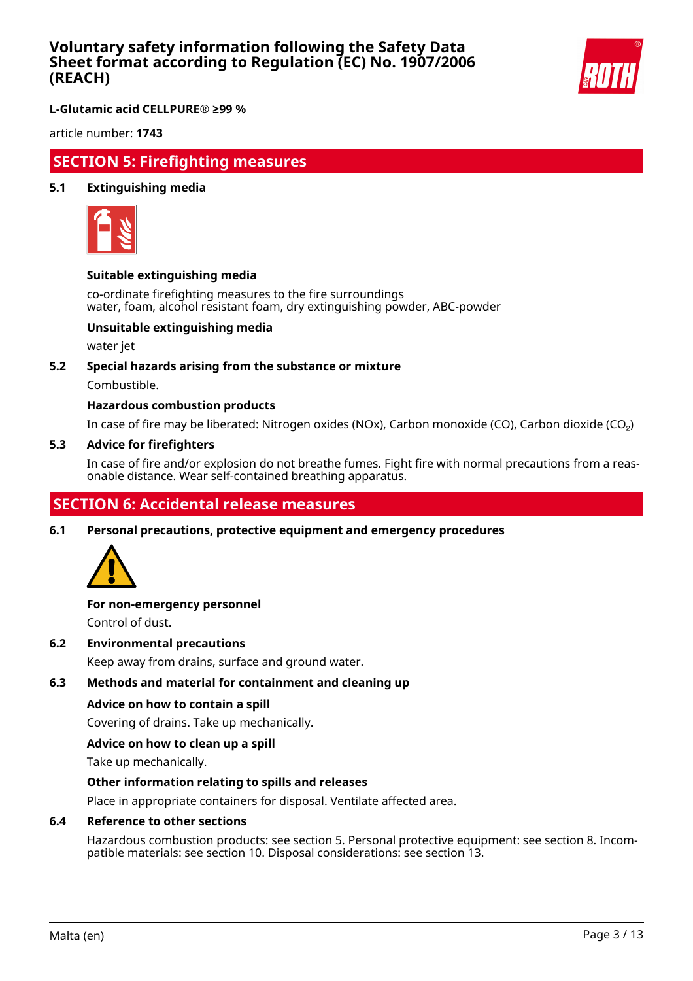

**L-Glutamic acid CELLPURE® ≥99 %**

article number: **1743**

## **SECTION 5: Firefighting measures**

### **5.1 Extinguishing media**



### **Suitable extinguishing media**

co-ordinate firefighting measures to the fire surroundings water, foam, alcohol resistant foam, dry extinguishing powder, ABC-powder

### **Unsuitable extinguishing media**

water jet

### **5.2 Special hazards arising from the substance or mixture**

Combustible.

### **Hazardous combustion products**

In case of fire may be liberated: Nitrogen oxides (NOx), Carbon monoxide (CO), Carbon dioxide (CO₂)

#### **5.3 Advice for firefighters**

In case of fire and/or explosion do not breathe fumes. Fight fire with normal precautions from a reasonable distance. Wear self-contained breathing apparatus.

## **SECTION 6: Accidental release measures**

**6.1 Personal precautions, protective equipment and emergency procedures**



## **For non-emergency personnel**

Control of dust.

**6.2 Environmental precautions**

Keep away from drains, surface and ground water.

### **6.3 Methods and material for containment and cleaning up**

### **Advice on how to contain a spill**

Covering of drains. Take up mechanically.

### **Advice on how to clean up a spill**

Take up mechanically.

### **Other information relating to spills and releases**

Place in appropriate containers for disposal. Ventilate affected area.

### **6.4 Reference to other sections**

Hazardous combustion products: see section 5. Personal protective equipment: see section 8. Incompatible materials: see section 10. Disposal considerations: see section 13.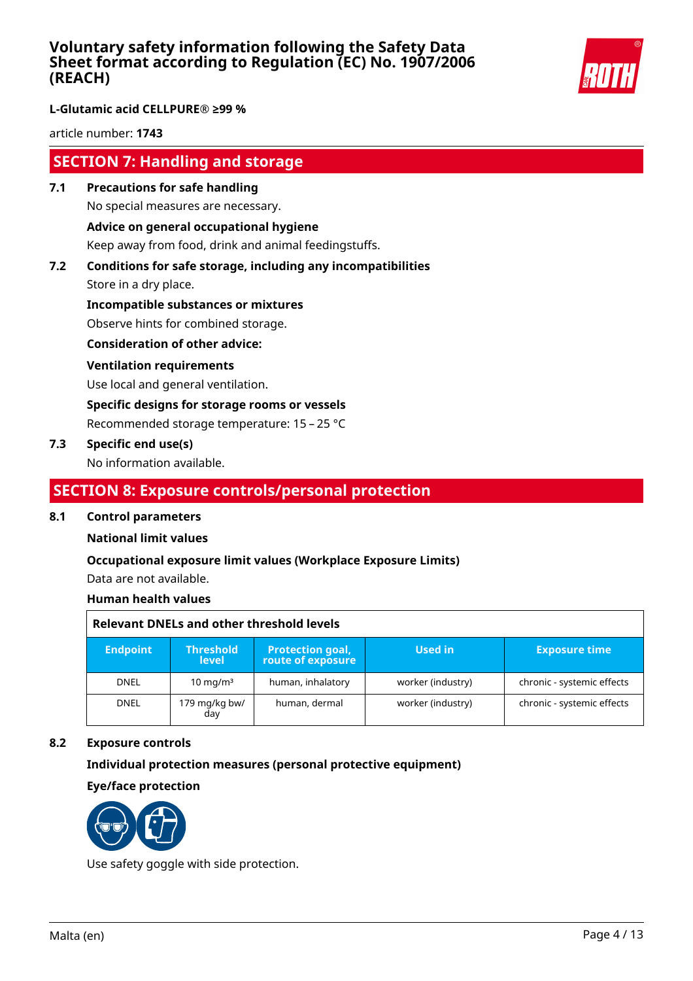

### **L-Glutamic acid CELLPURE® ≥99 %**

article number: **1743**

## **SECTION 7: Handling and storage**

**7.1 Precautions for safe handling** No special measures are necessary.

### **Advice on general occupational hygiene**

Keep away from food, drink and animal feedingstuffs.

**7.2 Conditions for safe storage, including any incompatibilities**

Store in a dry place.

**Incompatible substances or mixtures**

Observe hints for combined storage.

**Consideration of other advice:**

#### **Ventilation requirements**

Use local and general ventilation.

**Specific designs for storage rooms or vessels**

Recommended storage temperature: 15 – 25 °C

### **7.3 Specific end use(s)**

No information available.

## **SECTION 8: Exposure controls/personal protection**

### **8.1 Control parameters**

### **National limit values**

### **Occupational exposure limit values (Workplace Exposure Limits)**

Data are not available.

### **Human health values**

| Relevant DNELs and other threshold levels |                                  |                                       |                   |                            |
|-------------------------------------------|----------------------------------|---------------------------------------|-------------------|----------------------------|
| <b>Endpoint</b>                           | <b>Threshold</b><br><b>level</b> | Protection goal,<br>route of exposure | Used in           | <b>Exposure time</b>       |
| <b>DNEL</b>                               | $10 \text{ mg/m}^3$              | human, inhalatory                     | worker (industry) | chronic - systemic effects |
| <b>DNEL</b>                               | 179 mg/kg bw/<br>dav             | human, dermal                         | worker (industry) | chronic - systemic effects |

### **8.2 Exposure controls**

### **Individual protection measures (personal protective equipment)**

**Eye/face protection**



Use safety goggle with side protection.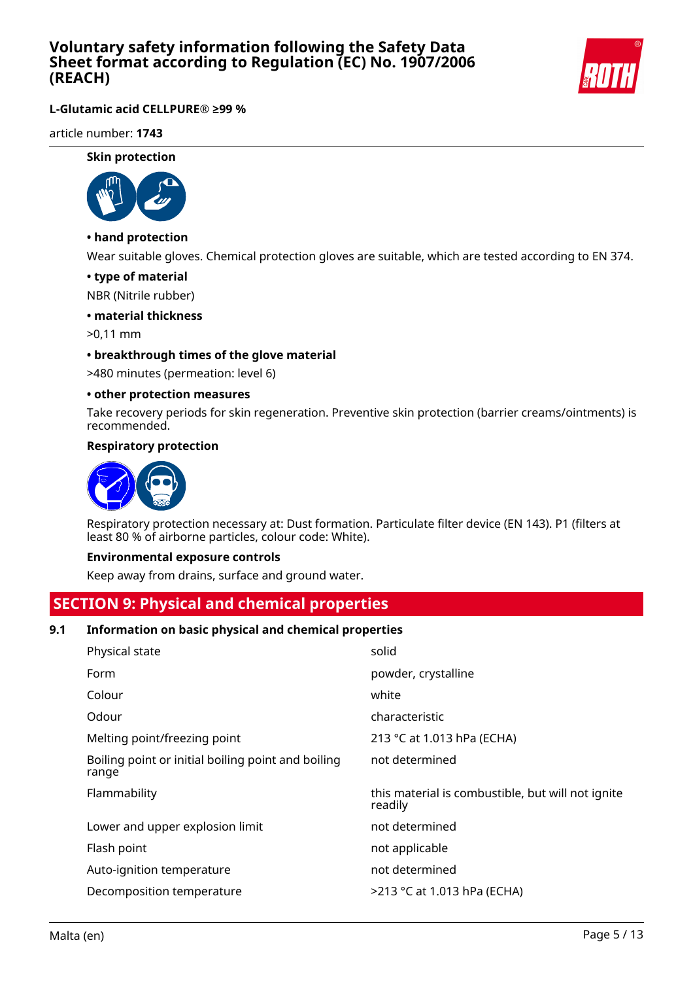

### **L-Glutamic acid CELLPURE® ≥99 %**

article number: **1743**

#### **Skin protection**



### **• hand protection**

Wear suitable gloves. Chemical protection gloves are suitable, which are tested according to EN 374.

#### **• type of material**

NBR (Nitrile rubber)

### **• material thickness**

>0,11 mm

### **• breakthrough times of the glove material**

>480 minutes (permeation: level 6)

#### **• other protection measures**

Take recovery periods for skin regeneration. Preventive skin protection (barrier creams/ointments) is recommended.

#### **Respiratory protection**



Respiratory protection necessary at: Dust formation. Particulate filter device (EN 143). P1 (filters at least 80 % of airborne particles, colour code: White).

#### **Environmental exposure controls**

Keep away from drains, surface and ground water.

## **SECTION 9: Physical and chemical properties**

### **9.1 Information on basic physical and chemical properties**

| Physical state                                              | solid                                                        |
|-------------------------------------------------------------|--------------------------------------------------------------|
| Form                                                        | powder, crystalline                                          |
| Colour                                                      | white                                                        |
| Odour                                                       | characteristic                                               |
| Melting point/freezing point                                | 213 °C at 1.013 hPa (ECHA)                                   |
| Boiling point or initial boiling point and boiling<br>range | not determined                                               |
|                                                             |                                                              |
| Flammability                                                | this material is combustible, but will not ignite<br>readily |
| Lower and upper explosion limit                             | not determined                                               |
| Flash point                                                 | not applicable                                               |
| Auto-ignition temperature                                   | not determined                                               |
| Decomposition temperature                                   | >213 °C at 1.013 hPa (ECHA)                                  |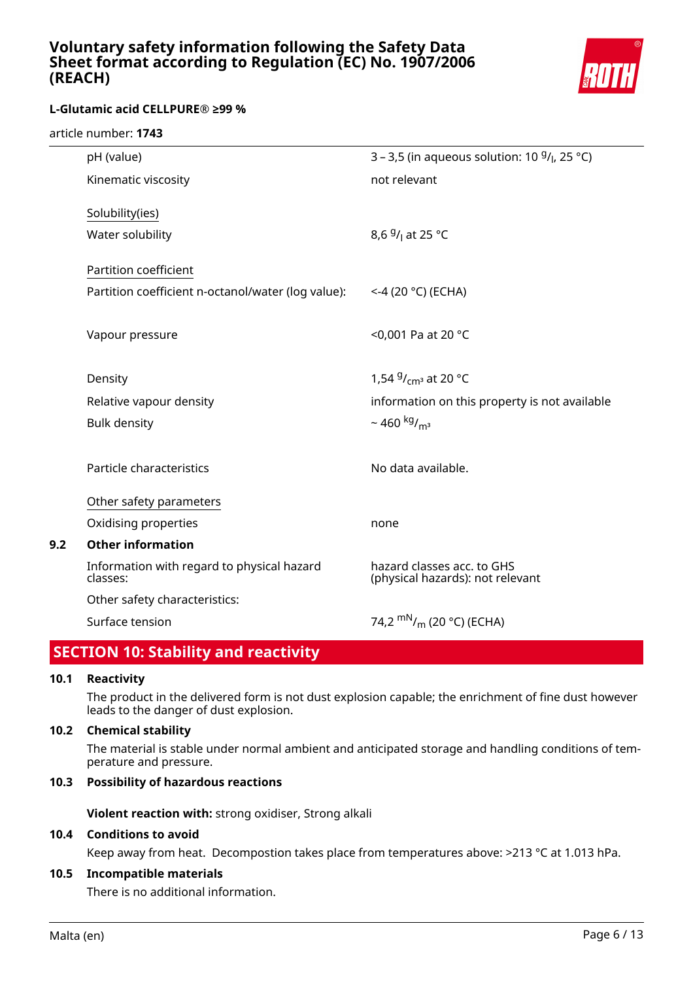

### **L-Glutamic acid CELLPURE® ≥99 %**

| pH (value)                                         | 3 – 3,5 (in aqueous solution: 10 $9/$ <sub>l</sub> , 25 °C) |
|----------------------------------------------------|-------------------------------------------------------------|
| Kinematic viscosity                                | not relevant                                                |
| Solubility(ies)                                    |                                                             |
|                                                    |                                                             |
| Water solubility                                   | 8,6 <sup>g</sup> / <sub>l</sub> at 25 °C                    |
| Partition coefficient                              |                                                             |
| Partition coefficient n-octanol/water (log value): | $<$ -4 (20 °C) (ECHA)                                       |
|                                                    |                                                             |
| Vapour pressure                                    | <0,001 Pa at 20 °C                                          |
|                                                    |                                                             |
| Density                                            | 1,54 $9/_{cm^3}$ at 20 °C                                   |
| Relative vapour density                            | information on this property is not available               |
| <b>Bulk density</b>                                | $\sim$ 460 kg/ <sub>m<sup>3</sup></sub>                     |
|                                                    |                                                             |
| Particle characteristics                           | No data available.                                          |
|                                                    |                                                             |
| Other safety parameters                            |                                                             |
| Oxidising properties                               | none                                                        |
| <b>Other information</b>                           |                                                             |
| Information with regard to physical hazard         | hazard classes acc. to GHS                                  |
| classes:                                           | (physical hazards): not relevant                            |
| Other safety characteristics:                      |                                                             |
| Surface tension                                    | 74,2 $\rm{mN}_{/m}$ (20 °C) (ECHA)                          |
|                                                    |                                                             |

## **SECTION 10: Stability and reactivity**

### **10.1 Reactivity**

**9.2** 

The product in the delivered form is not dust explosion capable; the enrichment of fine dust however leads to the danger of dust explosion.

#### **10.2 Chemical stability**

The material is stable under normal ambient and anticipated storage and handling conditions of temperature and pressure.

### **10.3 Possibility of hazardous reactions**

**Violent reaction with:** strong oxidiser, Strong alkali

### **10.4 Conditions to avoid**

Keep away from heat. Decompostion takes place from temperatures above: >213 °C at 1.013 hPa.

### **10.5 Incompatible materials**

There is no additional information.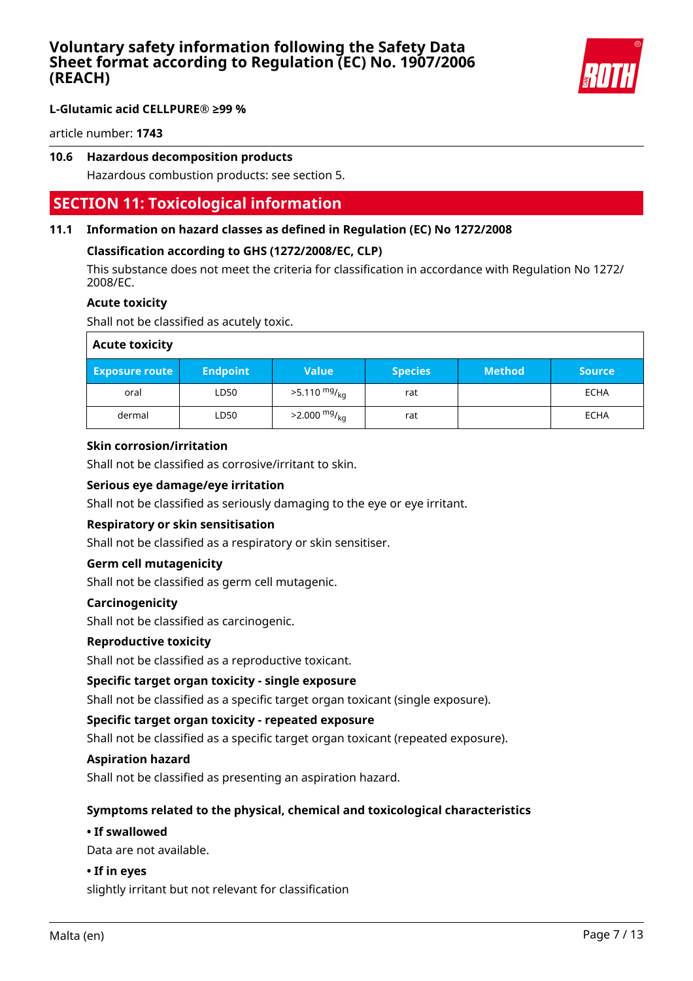

article number: **1743**

### **10.6 Hazardous decomposition products**

Hazardous combustion products: see section 5.

## **SECTION 11: Toxicological information**

### **11.1 Information on hazard classes as defined in Regulation (EC) No 1272/2008**

### **Classification according to GHS (1272/2008/EC, CLP)**

This substance does not meet the criteria for classification in accordance with Regulation No 1272/ 2008/EC.

## **Acute toxicity**

Shall not be classified as acutely toxic.

| <b>Acute toxicity</b> |                 |                        |                |               |               |
|-----------------------|-----------------|------------------------|----------------|---------------|---------------|
| <b>Exposure route</b> | <b>Endpoint</b> | <b>Value</b>           | <b>Species</b> | <b>Method</b> | <b>Source</b> |
| oral                  | LD50            | $>5.110 \frac{mg}{kg}$ | rat            |               | <b>ECHA</b>   |
| dermal                | LD50            | $>2.000 \frac{mg}{kg}$ | rat            |               | <b>ECHA</b>   |

### **Skin corrosion/irritation**

Shall not be classified as corrosive/irritant to skin.

### **Serious eye damage/eye irritation**

Shall not be classified as seriously damaging to the eye or eye irritant.

### **Respiratory or skin sensitisation**

Shall not be classified as a respiratory or skin sensitiser.

### **Germ cell mutagenicity**

Shall not be classified as germ cell mutagenic.

### **Carcinogenicity**

Shall not be classified as carcinogenic.

### **Reproductive toxicity**

Shall not be classified as a reproductive toxicant.

### **Specific target organ toxicity - single exposure**

Shall not be classified as a specific target organ toxicant (single exposure).

### **Specific target organ toxicity - repeated exposure**

Shall not be classified as a specific target organ toxicant (repeated exposure).

### **Aspiration hazard**

Shall not be classified as presenting an aspiration hazard.

### **Symptoms related to the physical, chemical and toxicological characteristics**

#### **• If swallowed**

Data are not available.

### **• If in eyes**

slightly irritant but not relevant for classification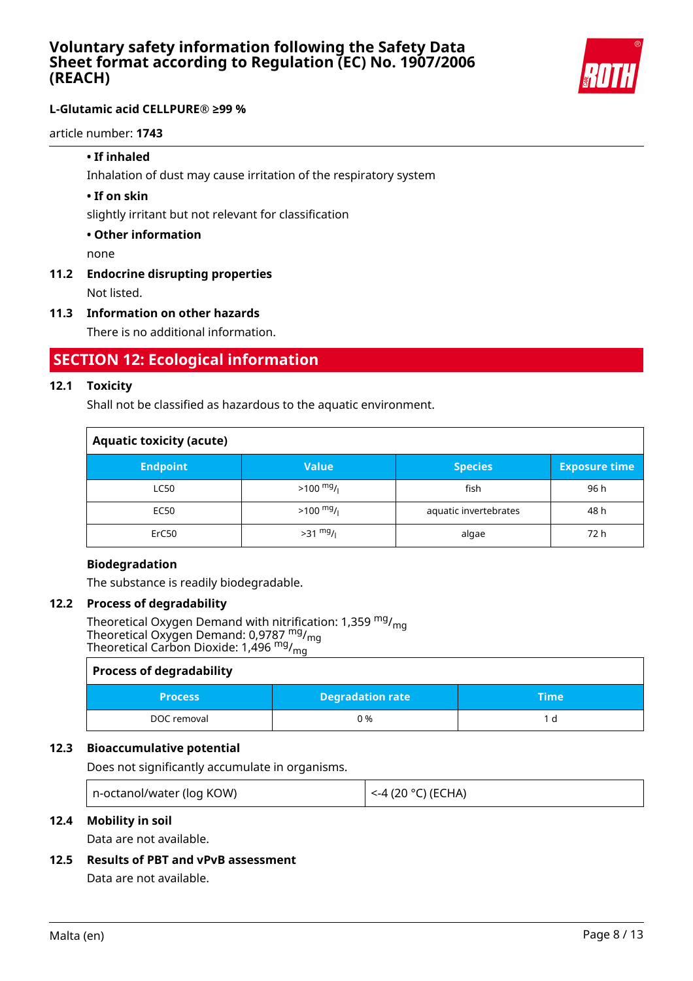

article number: **1743**

### **• If inhaled**

Inhalation of dust may cause irritation of the respiratory system

### **• If on skin**

slightly irritant but not relevant for classification

### **• Other information**

none

## **11.2 Endocrine disrupting properties**

Not listed.

### **11.3 Information on other hazards**

There is no additional information.

## **SECTION 12: Ecological information**

### **12.1 Toxicity**

Shall not be classified as hazardous to the aquatic environment.

| <b>Aquatic toxicity (acute)</b> |                     |                       |                      |  |
|---------------------------------|---------------------|-----------------------|----------------------|--|
| <b>Endpoint</b>                 | <b>Value</b>        | <b>Species</b>        | <b>Exposure time</b> |  |
| LC50                            | $>100 \frac{mg}{l}$ | fish                  | 96 h                 |  |
| <b>EC50</b>                     | $>100 \frac{mg}{l}$ | aquatic invertebrates | 48 h                 |  |
| ErC50                           | $>31$ mg/           | algae                 | 72 h                 |  |

### **Biodegradation**

The substance is readily biodegradable.

### **12.2 Process of degradability**

Theoretical Oxygen Demand with nitrification: 1,359  $mg/m<sub>q</sub>$ Theoretical Oxygen Demand: 0,9787 <sup>mg</sup>/<sub>mg</sub> Theoretical Carbon Dioxide: 1,496 <sup>mg</sup>/<sub>mg</sub>

### **Process of degradability**

| <b>Degradation rate</b><br><b>Process</b> |     | "Time |
|-------------------------------------------|-----|-------|
| DOC removal                               | ጋ % |       |

### **12.3 Bioaccumulative potential**

Does not significantly accumulate in organisms.

| n-octanol/water (log KOW) | l <-4 (20 °C) (ECHA) |
|---------------------------|----------------------|
|---------------------------|----------------------|

### **12.4 Mobility in soil**

Data are not available.

### **12.5 Results of PBT and vPvB assessment**

Data are not available.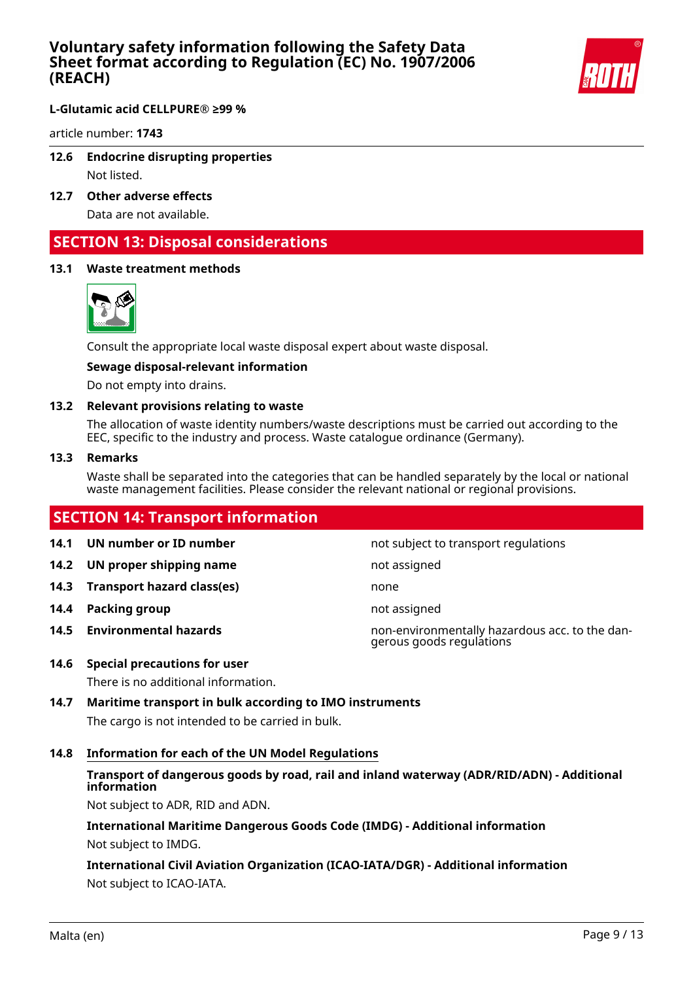

**L-Glutamic acid CELLPURE® ≥99 %**

article number: **1743**

**12.6 Endocrine disrupting properties**

Not listed.

**12.7 Other adverse effects**

Data are not available.

## **SECTION 13: Disposal considerations**

### **13.1 Waste treatment methods**



Consult the appropriate local waste disposal expert about waste disposal.

### **Sewage disposal-relevant information**

Do not empty into drains.

### **13.2 Relevant provisions relating to waste**

The allocation of waste identity numbers/waste descriptions must be carried out according to the EEC, specific to the industry and process. Waste catalogue ordinance (Germany).

### **13.3 Remarks**

Waste shall be separated into the categories that can be handled separately by the local or national waste management facilities. Please consider the relevant national or regional provisions.

## **SECTION 14: Transport information**

- 
- **14.2 UN proper shipping name** not assigned
- **14.3 Transport hazard class(es)** none
- **14.4 Packing group not assigned**
- 

**14.1 UN number or ID number not subject to transport regulations** 

- 
- 
- 
- **14.5 Environmental hazards** non-environmentally hazardous acc. to the dangerous goods regulations
- **14.6 Special precautions for user**

There is no additional information.

**14.7 Maritime transport in bulk according to IMO instruments**

The cargo is not intended to be carried in bulk.

**14.8 Information for each of the UN Model Regulations**

## **Transport of dangerous goods by road, rail and inland waterway (ADR/RID/ADN) - Additional information**

Not subject to ADR, RID and ADN.

# **International Maritime Dangerous Goods Code (IMDG) - Additional information**

Not subject to IMDG.

**International Civil Aviation Organization (ICAO-IATA/DGR) - Additional information** Not subject to ICAO-IATA.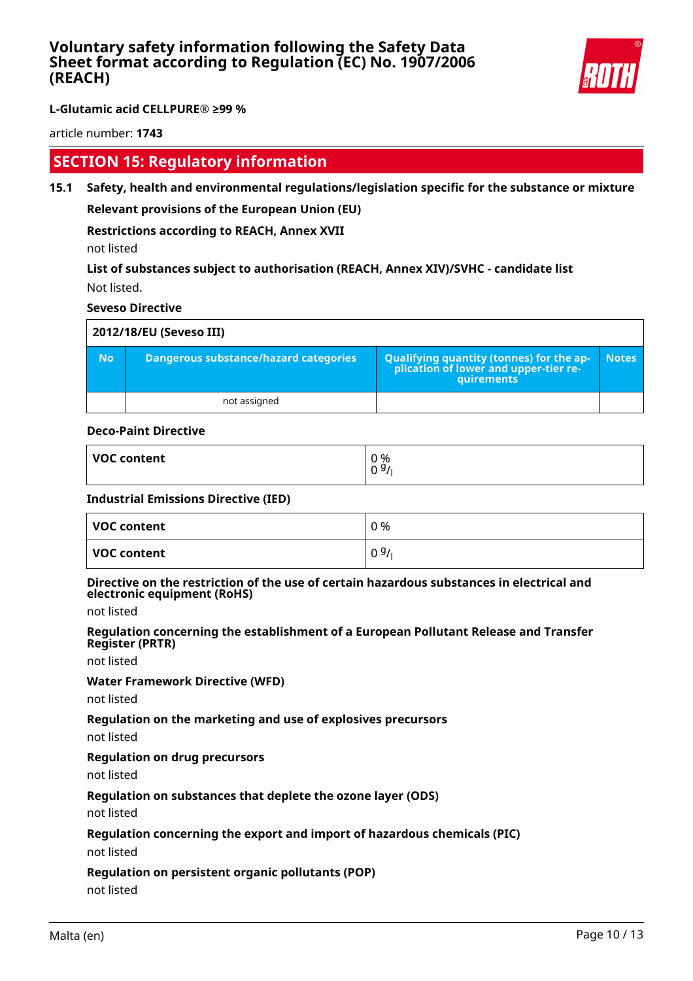

article number: **1743**

## **SECTION 15: Regulatory information**

**15.1 Safety, health and environmental regulations/legislation specific for the substance or mixture Relevant provisions of the European Union (EU)**

**Restrictions according to REACH, Annex XVII**

not listed

**List of substances subject to authorisation (REACH, Annex XIV)/SVHC - candidate list** Not listed.

### **Seveso Directive**

|           | 2012/18/EU (Seveso III)               |                                                                                            |              |  |  |
|-----------|---------------------------------------|--------------------------------------------------------------------------------------------|--------------|--|--|
| <b>No</b> | Dangerous substance/hazard categories | Qualifying quantity (tonnes) for the application of lower and upper-tier re-<br>quirements | <b>Notes</b> |  |  |
|           | not assigned                          |                                                                                            |              |  |  |

### **Deco-Paint Directive**

| VOC content | 0 %<br>n G.<br>- |
|-------------|------------------|
|             | ັບ               |

### **Industrial Emissions Directive (IED)**

| VOC content | 0 % |
|-------------|-----|
| VOC content | 09/ |

#### **Directive on the restriction of the use of certain hazardous substances in electrical and electronic equipment (RoHS)**

not listed

**Regulation concerning the establishment of a European Pollutant Release and Transfer Register (PRTR)**

not listed

### **Water Framework Directive (WFD)**

not listed

### **Regulation on the marketing and use of explosives precursors**

not listed

### **Regulation on drug precursors**

not listed

### **Regulation on substances that deplete the ozone layer (ODS)**

not listed

### **Regulation concerning the export and import of hazardous chemicals (PIC)**

not listed

### **Regulation on persistent organic pollutants (POP)**

not listed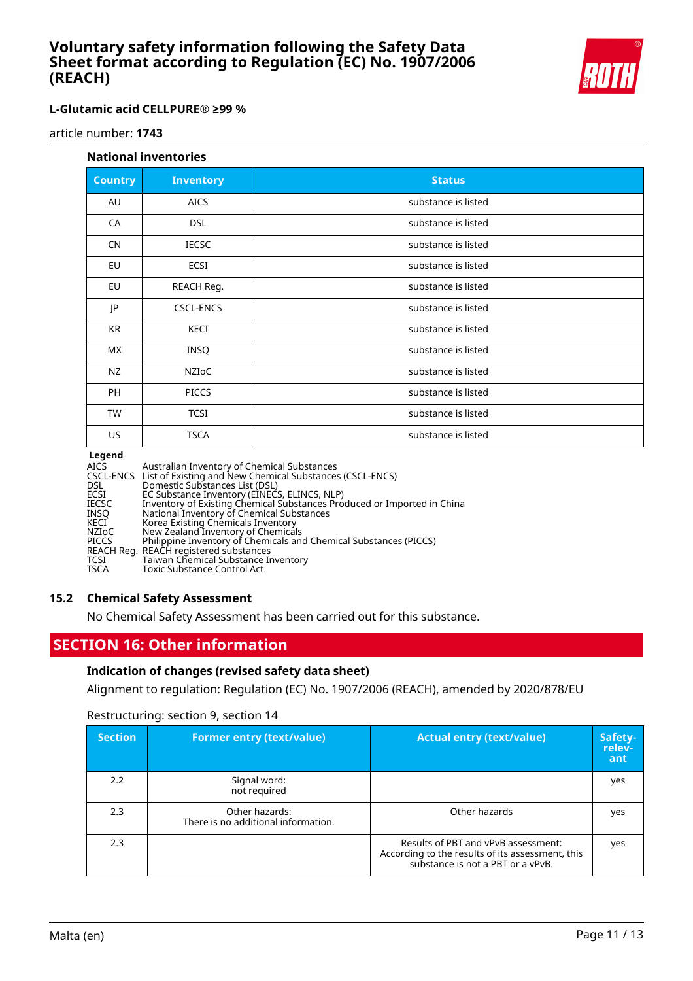

### **L-Glutamic acid CELLPURE® ≥99 %**

article number: **1743**

#### **National inventories**

| <b>Country</b> | <b>Inventory</b> | <b>Status</b>       |
|----------------|------------------|---------------------|
| AU             | <b>AICS</b>      | substance is listed |
| CA             | <b>DSL</b>       | substance is listed |
| <b>CN</b>      | <b>IECSC</b>     | substance is listed |
| EU             | ECSI             | substance is listed |
| EU             | REACH Reg.       | substance is listed |
| JP             | <b>CSCL-ENCS</b> | substance is listed |
| <b>KR</b>      | KECI             | substance is listed |
| МX             | <b>INSQ</b>      | substance is listed |
| NZ             | NZIOC            | substance is listed |
| <b>PH</b>      | <b>PICCS</b>     | substance is listed |
| <b>TW</b>      | <b>TCSI</b>      | substance is listed |
| US             | <b>TSCA</b>      | substance is listed |

#### **Legend**

| <b>AICS</b>  | Australian Inventory of Chemical Substances                             |
|--------------|-------------------------------------------------------------------------|
|              | CSCL-ENCS List of Existing and New Chemical Substances (CSCL-ENCS)      |
| DSL.         | Domestic Substances List (DSL)                                          |
| ECSI         | EC Substance Inventory (EINECS, ELINCS, NLP)                            |
| <b>IECSC</b> | Inventory of Existing Chemical Substances Produced or Imported in China |
| INSO         | National Inventory of Chemical Substances                               |
| KECI         | Korea Existing Chemicals Inventory                                      |
| <b>NZIOC</b> | New Zealand Inventory of Chemicals                                      |
| <b>PICCS</b> | Philippine Inventory of Chemicals and Chemical Substances (PICCS)       |
|              | REACH Reg. REACH registered substances                                  |
| TCSI         | Taiwan Chemical Substance Inventory                                     |
| <b>TSCA</b>  | <b>Toxic Substance Control Act</b>                                      |

### **15.2 Chemical Safety Assessment**

No Chemical Safety Assessment has been carried out for this substance.

## **SECTION 16: Other information**

### **Indication of changes (revised safety data sheet)**

Alignment to regulation: Regulation (EC) No. 1907/2006 (REACH), amended by 2020/878/EU

|  | Restructuring: section 9, section 14 |  |
|--|--------------------------------------|--|
|--|--------------------------------------|--|

| <b>Section</b> | <b>Former entry (text/value)</b>                      | <b>Actual entry (text/value)</b>                                                                                             | Safety-<br>relev-<br>ant |
|----------------|-------------------------------------------------------|------------------------------------------------------------------------------------------------------------------------------|--------------------------|
| 2.2            | Signal word:<br>not required                          |                                                                                                                              | yes                      |
| 2.3            | Other hazards:<br>There is no additional information. | Other hazards                                                                                                                | yes                      |
| 2.3            |                                                       | Results of PBT and vPvB assessment:<br>According to the results of its assessment, this<br>substance is not a PBT or a vPvB. | yes                      |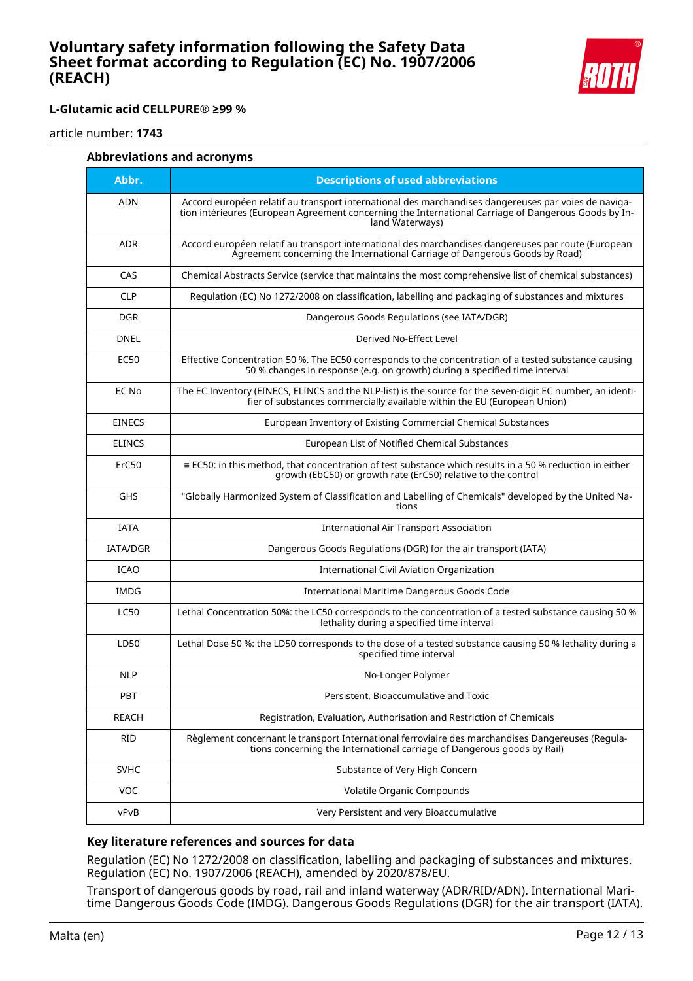

article number: **1743**

| Abbreviations and acronyms |
|----------------------------|
|----------------------------|

| Abbr.           | <b>Descriptions of used abbreviations</b>                                                                                                                                                                                       |
|-----------------|---------------------------------------------------------------------------------------------------------------------------------------------------------------------------------------------------------------------------------|
| <b>ADN</b>      | Accord européen relatif au transport international des marchandises dangereuses par voies de naviga-<br>tion intérieures (European Agreement concerning the International Carriage of Dangerous Goods by In-<br>land Waterways) |
| <b>ADR</b>      | Accord européen relatif au transport international des marchandises dangereuses par route (European<br>Agreement concerning the International Carriage of Dangerous Goods by Road)                                              |
| CAS             | Chemical Abstracts Service (service that maintains the most comprehensive list of chemical substances)                                                                                                                          |
| <b>CLP</b>      | Regulation (EC) No 1272/2008 on classification, labelling and packaging of substances and mixtures                                                                                                                              |
| <b>DGR</b>      | Dangerous Goods Regulations (see IATA/DGR)                                                                                                                                                                                      |
| <b>DNEL</b>     | Derived No-Effect Level                                                                                                                                                                                                         |
| <b>EC50</b>     | Effective Concentration 50 %. The EC50 corresponds to the concentration of a tested substance causing<br>50 % changes in response (e.g. on growth) during a specified time interval                                             |
| EC No           | The EC Inventory (EINECS, ELINCS and the NLP-list) is the source for the seven-digit EC number, an identi-<br>fier of substances commercially available within the EU (European Union)                                          |
| <b>EINECS</b>   | European Inventory of Existing Commercial Chemical Substances                                                                                                                                                                   |
| <b>ELINCS</b>   | European List of Notified Chemical Substances                                                                                                                                                                                   |
| ErC50           | $\equiv$ EC50: in this method, that concentration of test substance which results in a 50 % reduction in either<br>growth (EbC50) or growth rate (ErC50) relative to the control                                                |
| <b>GHS</b>      | "Globally Harmonized System of Classification and Labelling of Chemicals" developed by the United Na-<br>tions                                                                                                                  |
| <b>IATA</b>     | <b>International Air Transport Association</b>                                                                                                                                                                                  |
| <b>IATA/DGR</b> | Dangerous Goods Regulations (DGR) for the air transport (IATA)                                                                                                                                                                  |
| <b>ICAO</b>     | International Civil Aviation Organization                                                                                                                                                                                       |
| <b>IMDG</b>     | International Maritime Dangerous Goods Code                                                                                                                                                                                     |
| <b>LC50</b>     | Lethal Concentration 50%: the LC50 corresponds to the concentration of a tested substance causing 50 %<br>lethality during a specified time interval                                                                            |
| LD50            | Lethal Dose 50 %: the LD50 corresponds to the dose of a tested substance causing 50 % lethality during a<br>specified time interval                                                                                             |
| <b>NLP</b>      | No-Longer Polymer                                                                                                                                                                                                               |
| PBT             | Persistent, Bioaccumulative and Toxic                                                                                                                                                                                           |
| <b>REACH</b>    | Registration, Evaluation, Authorisation and Restriction of Chemicals                                                                                                                                                            |
| <b>RID</b>      | Règlement concernant le transport International ferroviaire des marchandises Dangereuses (Regula-<br>tions concerning the International carriage of Dangerous goods by Rail)                                                    |
| <b>SVHC</b>     | Substance of Very High Concern                                                                                                                                                                                                  |
| <b>VOC</b>      | Volatile Organic Compounds                                                                                                                                                                                                      |
| vPvB            | Very Persistent and very Bioaccumulative                                                                                                                                                                                        |

### **Key literature references and sources for data**

Regulation (EC) No 1272/2008 on classification, labelling and packaging of substances and mixtures. Regulation (EC) No. 1907/2006 (REACH), amended by 2020/878/EU.

Transport of dangerous goods by road, rail and inland waterway (ADR/RID/ADN). International Maritime Dangerous Goods Code (IMDG). Dangerous Goods Regulations (DGR) for the air transport (IATA).